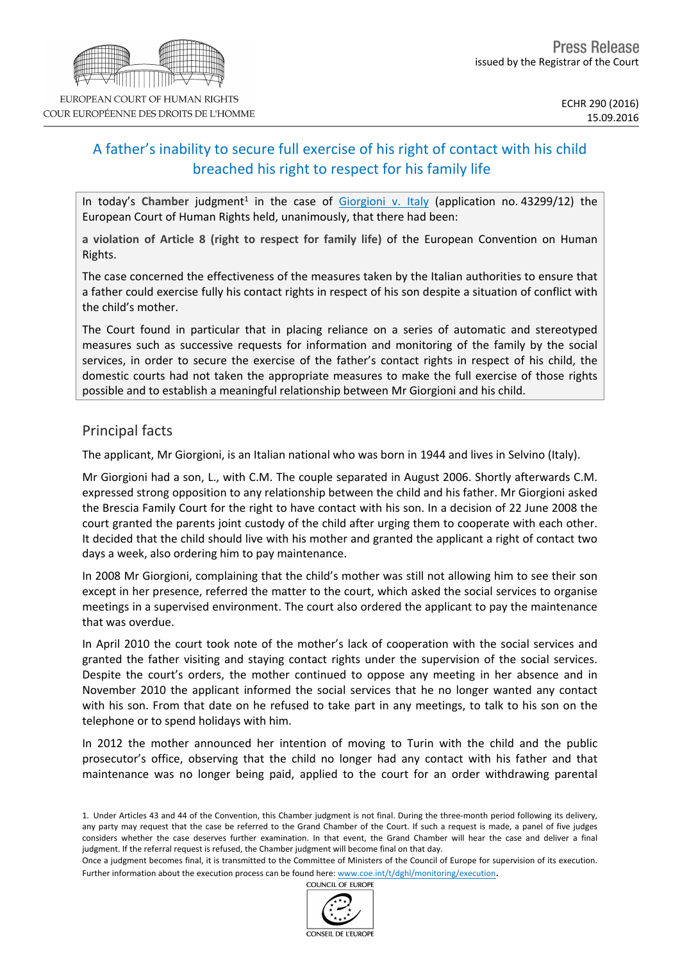# A father's inability to secure full exercise of his right of contact with his child breached his right to respect for his family life

In today's Chamber judgment<sup>1</sup> in the case of [Giorgioni](http://hudoc.echr.coe.int/eng/?i=001-166692) [v.](http://hudoc.echr.coe.int/eng/?i=001-166692) [Italy](http://hudoc.echr.coe.int/eng/?i=001-166692) (application no. 43299/12) the European Court of Human Rights held, unanimously, that there had been:

**a violation of Article 8 (right to respect for family life)** of the European Convention on Human Rights.

The case concerned the effectiveness of the measures taken by the Italian authorities to ensure that a father could exercise fully his contact rights in respect of his son despite a situation of conflict with the child's mother.

The Court found in particular that in placing reliance on a series of automatic and stereotyped measures such as successive requests for information and monitoring of the family by the social services, in order to secure the exercise of the father's contact rights in respect of his child, the domestic courts had not taken the appropriate measures to make the full exercise of those rights possible and to establish a meaningful relationship between Mr Giorgioni and his child.

# Principal facts

The applicant, Mr Giorgioni, is an Italian national who was born in 1944 and lives in Selvino (Italy).

Mr Giorgioni had a son, L., with C.M. The couple separated in August 2006. Shortly afterwards C.M. expressed strong opposition to any relationship between the child and his father. Mr Giorgioni asked the Brescia Family Court for the right to have contact with his son. In a decision of 22 June 2008 the court granted the parents joint custody of the child after urging them to cooperate with each other. It decided that the child should live with his mother and granted the applicant a right of contact two days a week, also ordering him to pay maintenance.

In 2008 Mr Giorgioni, complaining that the child's mother was still not allowing him to see their son except in her presence, referred the matter to the court, which asked the social services to organise meetings in a supervised environment. The court also ordered the applicant to pay the maintenance that was overdue.

In April 2010 the court took note of the mother's lack of cooperation with the social services and granted the father visiting and staying contact rights under the supervision of the social services. Despite the court's orders, the mother continued to oppose any meeting in her absence and in November 2010 the applicant informed the social services that he no longer wanted any contact with his son. From that date on he refused to take part in any meetings, to talk to his son on the telephone or to spend holidays with him.

In 2012 the mother announced her intention of moving to Turin with the child and the public prosecutor's office, observing that the child no longer had any contact with his father and that maintenance was no longer being paid, applied to the court for an order withdrawing parental

COUNCIL OF EUROPE



<sup>1.</sup> Under Articles 43 and 44 of the Convention, this Chamber judgment is not final. During the three-month period following its delivery, any party may request that the case be referred to the Grand Chamber of the Court. If such a request is made, a panel of five judges considers whether the case deserves further examination. In that event, the Grand Chamber will hear the case and deliver a final judgment. If the referral request is refused, the Chamber judgment will become final on that day.

Once a judgment becomes final, it is transmitted to the Committee of Ministers of the Council of Europe for supervision of its execution. Further information about the execution process can be found here: [www.coe.int/t/dghl/monitoring/execution](http://www.coe.int/t/dghl/monitoring/execution).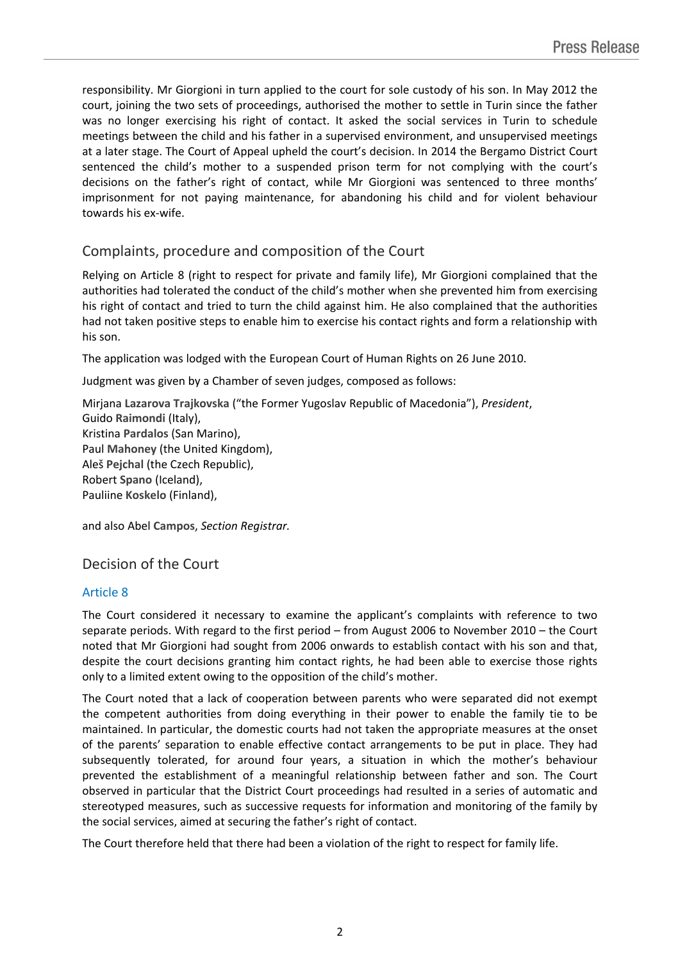responsibility. Mr Giorgioni in turn applied to the court for sole custody of his son. In May 2012 the court, joining the two sets of proceedings, authorised the mother to settle in Turin since the father was no longer exercising his right of contact. It asked the social services in Turin to schedule meetings between the child and his father in a supervised environment, and unsupervised meetings at a later stage. The Court of Appeal upheld the court's decision. In 2014 the Bergamo District Court sentenced the child's mother to a suspended prison term for not complying with the court's decisions on the father's right of contact, while Mr Giorgioni was sentenced to three months' imprisonment for not paying maintenance, for abandoning his child and for violent behaviour towards his ex-wife.

# Complaints, procedure and composition of the Court

Relying on Article 8 (right to respect for private and family life), Mr Giorgioni complained that the authorities had tolerated the conduct of the child's mother when she prevented him from exercising his right of contact and tried to turn the child against him. He also complained that the authorities had not taken positive steps to enable him to exercise his contact rights and form a relationship with his son.

The application was lodged with the European Court of Human Rights on 26 June 2010.

Judgment was given by a Chamber of seven judges, composed as follows:

Mirjana **Lazarova Trajkovska** ("the Former Yugoslav Republic of Macedonia"), *President*, Guido **Raimondi** (Italy), Kristina **Pardalos** (San Marino), Paul **Mahoney** (the United Kingdom), Aleš **Pejchal** (the Czech Republic), Robert **Spano** (Iceland), Pauliine **Koskelo** (Finland),

and also Abel **Campos**, *Section Registrar.*

## Decision of the Court

## Article 8

The Court considered it necessary to examine the applicant's complaints with reference to two separate periods. With regard to the first period – from August 2006 to November 2010 – the Court noted that Mr Giorgioni had sought from 2006 onwards to establish contact with his son and that, despite the court decisions granting him contact rights, he had been able to exercise those rights only to a limited extent owing to the opposition of the child's mother.

The Court noted that a lack of cooperation between parents who were separated did not exempt the competent authorities from doing everything in their power to enable the family tie to be maintained. In particular, the domestic courts had not taken the appropriate measures at the onset of the parents' separation to enable effective contact arrangements to be put in place. They had subsequently tolerated, for around four years, a situation in which the mother's behaviour prevented the establishment of a meaningful relationship between father and son. The Court observed in particular that the District Court proceedings had resulted in a series of automatic and stereotyped measures, such as successive requests for information and monitoring of the family by the social services, aimed at securing the father's right of contact.

The Court therefore held that there had been a violation of the right to respect for family life.